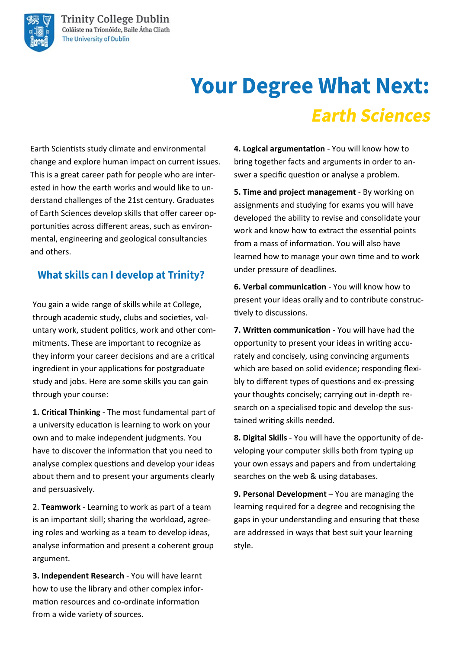# **Your Degree What Next: Earth Sciences**

Earth Scientists study climate and environmental change and explore human impact on current issues. This is a great career path for people who are interested in how the earth works and would like to understand challenges of the 21st century. Graduates of Earth Sciences develop skills that offer career opportunities across different areas, such as environmental, engineering and geological consultancies and others.

### **What skills can I develop at Trinity?**

You gain a wide range of skills while at College, through academic study, clubs and societies, voluntary work, student politics, work and other commitments. These are important to recognize as they inform your career decisions and are a critical ingredient in your applications for postgraduate study and jobs. Here are some skills you can gain through your course:

**1. Critical Thinking** - The most fundamental part of a university education is learning to work on your own and to make independent judgments. You have to discover the information that you need to analyse complex questions and develop your ideas about them and to present your arguments clearly and persuasively.

2. **Teamwork** - Learning to work as part of a team is an important skill; sharing the workload, agreeing roles and working as a team to develop ideas, analyse information and present a coherent group argument.

**3. Independent Research** - You will have learnt how to use the library and other complex information resources and co-ordinate information from a wide variety of sources.

**4. Logical argumentation** - You will know how to bring together facts and arguments in order to answer a specific question or analyse a problem.

**5. Time and project management** - By working on assignments and studying for exams you will have developed the ability to revise and consolidate your work and know how to extract the essential points from a mass of information. You will also have learned how to manage your own time and to work under pressure of deadlines.

**6. Verbal communication** - You will know how to present your ideas orally and to contribute constructively to discussions.

**7. Written communication** - You will have had the opportunity to present your ideas in writing accurately and concisely, using convincing arguments which are based on solid evidence; responding flexibly to different types of questions and ex-pressing your thoughts concisely; carrying out in-depth research on a specialised topic and develop the sustained writing skills needed.

**8. Digital Skills** - You will have the opportunity of developing your computer skills both from typing up your own essays and papers and from undertaking searches on the web & using databases.

**9. Personal Development** – You are managing the learning required for a degree and recognising the gaps in your understanding and ensuring that these are addressed in ways that best suit your learning style.